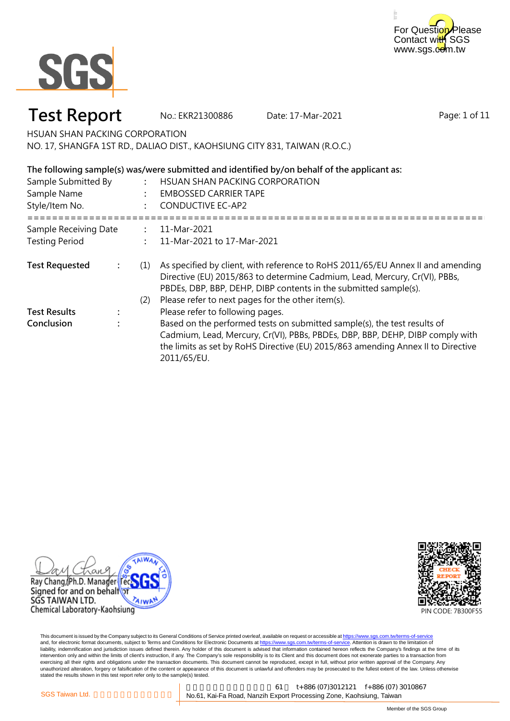



# **Test Report** No.: EKR21300886 Date: 17-Mar-2021

Page: 1 of 11

HSUAN SHAN PACKING CORPORATION

NO. 17, SHANGFA 1ST RD., DALIAO DIST., KAOHSIUNG CITY 831, TAIWAN (R.O.C.)

| The following sample(s) was/were submitted and identified by/on behalf of the applicant as: |  |     |                                                                                                                                                                                                                                                              |  |
|---------------------------------------------------------------------------------------------|--|-----|--------------------------------------------------------------------------------------------------------------------------------------------------------------------------------------------------------------------------------------------------------------|--|
| Sample Submitted By                                                                         |  |     | HSUAN SHAN PACKING CORPORATION                                                                                                                                                                                                                               |  |
| Sample Name                                                                                 |  |     | <b>EMBOSSED CARRIER TAPE</b>                                                                                                                                                                                                                                 |  |
| Style/Item No.                                                                              |  |     | <b>CONDUCTIVE EC-AP2</b>                                                                                                                                                                                                                                     |  |
| Sample Receiving Date                                                                       |  |     | 11-Mar-2021                                                                                                                                                                                                                                                  |  |
| <b>Testing Period</b>                                                                       |  |     | 11-Mar-2021 to 17-Mar-2021                                                                                                                                                                                                                                   |  |
| <b>Test Requested</b>                                                                       |  | (1) | As specified by client, with reference to RoHS 2011/65/EU Annex II and amending<br>Directive (EU) 2015/863 to determine Cadmium, Lead, Mercury, Cr(VI), PBBs,<br>PBDEs, DBP, BBP, DEHP, DIBP contents in the submitted sample(s).                            |  |
|                                                                                             |  | (2) | Please refer to next pages for the other item(s).                                                                                                                                                                                                            |  |
| <b>Test Results</b>                                                                         |  |     | Please refer to following pages.                                                                                                                                                                                                                             |  |
| Conclusion                                                                                  |  |     | Based on the performed tests on submitted sample(s), the test results of<br>Cadmium, Lead, Mercury, Cr(VI), PBBs, PBDEs, DBP, BBP, DEHP, DIBP comply with<br>the limits as set by RoHS Directive (EU) 2015/863 amending Annex II to Directive<br>2011/65/EU. |  |

Ray Chang Ph.D. Manager | rec Signed for and on behalf

Aiwi



This document is issued by the Company subject to its General Conditions of Service printed overleaf, available on request or accessible at <u>https://www.sgs.com.tw/terms-of-service</u><br>and, for electronic format documents, su liability, indemnification and jurisdiction issues defined therein. Any holder of this document is advised that information contained hereon reflects the Company's findings at the time of its intervention only and within the limits of client's instruction, if any. The Company's sole responsibility is to its Client and this document does not exonerate parties to a transaction from exercising all their rights and obligations under the transaction documents. This document cannot be reproduced, except in full, without prior written approval of the Company. Any<br>unauthorized alteration, forgery or falsif

高雄市楠梓加工出口區開發 61 t+886 (07)3012121 f+886 (07) 3010867 SGS Taiwan Ltd. **Company of the Construction Set Atlas No.61**, Kai-Fa Road, Nanzih Export Processing Zone, Kaohsiung, Taiwan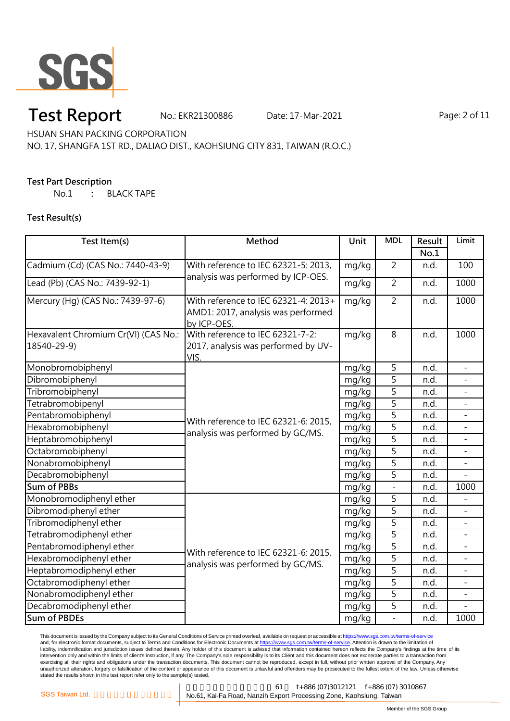

# **Test Report** No.: EKR21300886 Date: 17-Mar-2021 Page: 2 of 11

HSUAN SHAN PACKING CORPORATION

### NO. 17, SHANGFA 1ST RD., DALIAO DIST., KAOHSIUNG CITY 831, TAIWAN (R.O.C.)

#### **Test Part Description**

No.1 **:** BLACK TAPE

#### **Test Result(s)**

| Test Item(s)                                        | Method                                                                                    | Unit  | <b>MDL</b>     | Result | Limit                    |
|-----------------------------------------------------|-------------------------------------------------------------------------------------------|-------|----------------|--------|--------------------------|
|                                                     |                                                                                           |       |                | No.1   |                          |
| Cadmium (Cd) (CAS No.: 7440-43-9)                   | With reference to IEC 62321-5: 2013,<br>analysis was performed by ICP-OES.                | mg/kg | $\overline{2}$ | n.d.   | 100                      |
| Lead (Pb) (CAS No.: 7439-92-1)                      |                                                                                           | mg/kg | $\overline{2}$ | n.d.   | 1000                     |
| Mercury (Hg) (CAS No.: 7439-97-6)                   | With reference to IEC 62321-4: 2013+<br>AMD1: 2017, analysis was performed<br>by ICP-OES. | mg/kg | $\overline{2}$ | n.d.   | 1000                     |
| Hexavalent Chromium Cr(VI) (CAS No.:<br>18540-29-9) | With reference to IEC 62321-7-2:<br>2017, analysis was performed by UV-<br>VIS.           | mg/kg | 8              | n.d.   | 1000                     |
| Monobromobiphenyl                                   | With reference to IEC 62321-6: 2015,<br>analysis was performed by GC/MS.                  | mg/kg | 5              | n.d.   |                          |
| Dibromobiphenyl                                     |                                                                                           | mg/kg | 5              | n.d.   |                          |
| Tribromobiphenyl                                    |                                                                                           | mg/kg | 5              | n.d.   | $\blacksquare$           |
| Tetrabromobipenyl                                   |                                                                                           | mg/kg | 5              | n.d.   | $\overline{a}$           |
| Pentabromobiphenyl                                  |                                                                                           | mg/kg | 5              | n.d.   |                          |
| Hexabromobiphenyl                                   |                                                                                           | mg/kg | 5              | n.d.   |                          |
| Heptabromobiphenyl                                  |                                                                                           | mg/kg | 5              | n.d.   | L.                       |
| Octabromobiphenyl                                   |                                                                                           | mg/kg | 5              | n.d.   |                          |
| Nonabromobiphenyl                                   |                                                                                           | mg/kg | 5              | n.d.   |                          |
| Decabromobiphenyl                                   |                                                                                           | mg/kg | 5              | n.d.   |                          |
| <b>Sum of PBBs</b>                                  |                                                                                           | mg/kg | $\overline{a}$ | n.d.   | 1000                     |
| Monobromodiphenyl ether                             |                                                                                           | mg/kg | 5              | n.d.   |                          |
| Dibromodiphenyl ether                               |                                                                                           | mg/kg | 5              | n.d.   |                          |
| Tribromodiphenyl ether                              |                                                                                           | mg/kg | $\overline{5}$ | n.d.   | $\overline{a}$           |
| Tetrabromodiphenyl ether                            |                                                                                           | mg/kg | 5              | n.d.   |                          |
| Pentabromodiphenyl ether                            | With reference to IEC 62321-6: 2015,<br>analysis was performed by GC/MS.                  | mg/kg | 5              | n.d.   |                          |
| Hexabromodiphenyl ether                             |                                                                                           | mg/kg | 5              | n.d.   | $\overline{\phantom{0}}$ |
| Heptabromodiphenyl ether                            |                                                                                           | mg/kg | $\overline{5}$ | n.d.   | $\overline{a}$           |
| Octabromodiphenyl ether                             |                                                                                           | mg/kg | 5              | n.d.   |                          |
| Nonabromodiphenyl ether                             |                                                                                           | mg/kg | 5              | n.d.   |                          |
| Decabromodiphenyl ether                             |                                                                                           | mg/kg | 5              | n.d.   |                          |
| <b>Sum of PBDEs</b>                                 |                                                                                           | mg/kg |                | n.d.   | 1000                     |

This document is issued by the Company subject to its General Conditions of Service printed overleaf, available on request or accessible at <u>https://www.sgs.com.tw/terms-of-service</u><br>and, for electronic format documents, su liability, indemnification and jurisdiction issues defined therein. Any holder of this document is advised that information contained hereon reflects the Company's findings at the time of its intervention only and within the limits of client's instruction, if any. The Company's sole responsibility is to its Client and this document does not exonerate parties to a transaction from exercising all their rights and obligations under the transaction documents. This document cannot be reproduced, except in full, without prior written approval of the Company. Any<br>unauthorized alteration, forgery or falsif

高雄市楠梓加工出口區開發 61 t+886 (07)3012121 f+886 (07) 3010867 SGS Taiwan Ltd. <br> **CGS Taiwan Ltd.** Consumer States No.61, Kai-Fa Road, Nanzih Export Processing Zone, Kaohsiung, Taiwan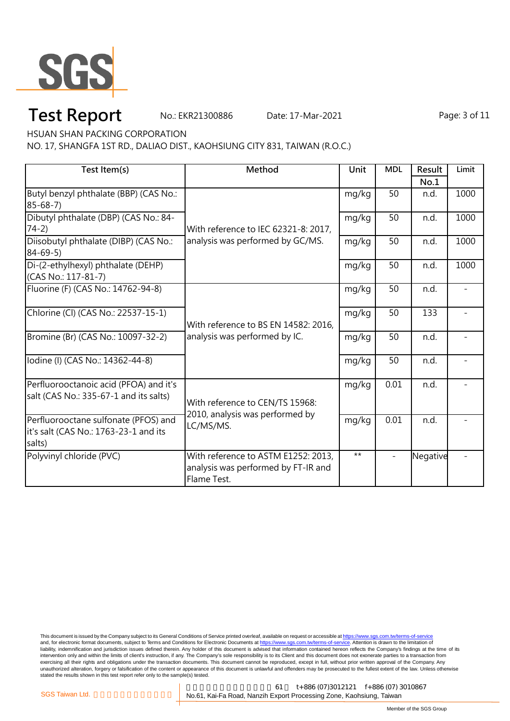

# **Test Report** No.: EKR21300886 Date: 17-Mar-2021 Page: 3 of 11

HSUAN SHAN PACKING CORPORATION

NO. 17, SHANGFA 1ST RD., DALIAO DIST., KAOHSIUNG CITY 831, TAIWAN (R.O.C.)

| Test Item(s)                                                                            | Method                                                                                    | Unit  | <b>MDL</b> | Result   | Limit |
|-----------------------------------------------------------------------------------------|-------------------------------------------------------------------------------------------|-------|------------|----------|-------|
|                                                                                         |                                                                                           |       |            | No.1     |       |
| Butyl benzyl phthalate (BBP) (CAS No.:<br>$85 - 68 - 7$                                 | With reference to IEC 62321-8: 2017,<br>analysis was performed by GC/MS.                  | mg/kg | 50         | n.d.     | 1000  |
| Dibutyl phthalate (DBP) (CAS No.: 84-<br>$74-2)$                                        |                                                                                           | mg/kg | 50         | n.d.     | 1000  |
| Diisobutyl phthalate (DIBP) (CAS No.:<br>$84 - 69 - 5$                                  |                                                                                           | mg/kg | 50         | n.d.     | 1000  |
| Di-(2-ethylhexyl) phthalate (DEHP)<br>(CAS No.: 117-81-7)                               |                                                                                           | mg/kg | 50         | n.d.     | 1000  |
| Fluorine (F) (CAS No.: 14762-94-8)                                                      | With reference to BS EN 14582: 2016,<br>analysis was performed by IC.                     | mg/kg | 50         | n.d.     |       |
| Chlorine (Cl) (CAS No.: 22537-15-1)                                                     |                                                                                           | mg/kg | 50         | 133      |       |
| Bromine (Br) (CAS No.: 10097-32-2)                                                      |                                                                                           | mg/kg | 50         | n.d.     |       |
| Iodine (I) (CAS No.: 14362-44-8)                                                        |                                                                                           | mg/kg | 50         | n.d.     |       |
| Perfluorooctanoic acid (PFOA) and it's<br>salt (CAS No.: 335-67-1 and its salts)        | With reference to CEN/TS 15968:<br>2010, analysis was performed by<br>LC/MS/MS.           | mg/kg | 0.01       | n.d.     |       |
| Perfluorooctane sulfonate (PFOS) and<br>it's salt (CAS No.: 1763-23-1 and its<br>salts) |                                                                                           | mg/kg | 0.01       | n.d.     |       |
| Polyvinyl chloride (PVC)                                                                | With reference to ASTM E1252: 2013,<br>analysis was performed by FT-IR and<br>Flame Test. | $**$  |            | Negative |       |

This document is issued by the Company subject to its General Conditions of Service printed overleaf, available on request or accessible at <u>https://www.sgs.com.tw/terms-of-service</u><br>and, for electronic format documents, su liability, indemnification and jurisdiction issues defined therein. Any holder of this document is advised that information contained hereon reflects the Company's findings at the time of its intervention only and within the limits of client's instruction, if any. The Company's sole responsibility is to its Client and this document does not exonerate parties to a transaction from exercising all their rights and obligations under the transaction documents. This document cannot be reproduced, except in full, without prior written approval of the Company. Any<br>unauthorized alteration, forgery or falsif

高雄市楠梓加工出口區開發 61 t+886 (07)3012121 f+886 (07) 3010867 SGS Taiwan Ltd. **Company of the Constructed Atlas No.61**, Kai-Fa Road, Nanzih Export Processing Zone, Kaohsiung, Taiwan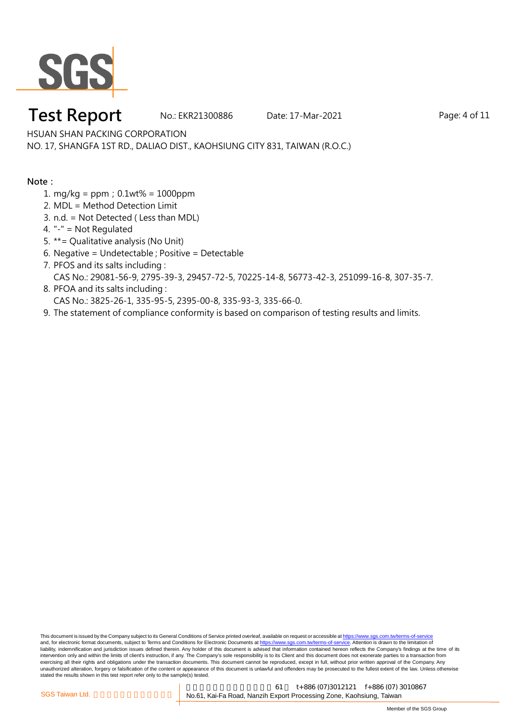

### **Test Report** No.: EKR21300886 Date: 17-Mar-2021 Page: 4 of 11

HSUAN SHAN PACKING CORPORATION

NO. 17, SHANGFA 1ST RD., DALIAO DIST., KAOHSIUNG CITY 831, TAIWAN (R.O.C.)

**Note:**

- 1. mg/kg = ppm;0.1wt% = 1000ppm
- 2. MDL = Method Detection Limit
- 3. n.d. = Not Detected ( Less than MDL)
- 4. "-" = Not Regulated
- 5. \*\*= Qualitative analysis (No Unit)
- 6. Negative = Undetectable ; Positive = Detectable
- 7. PFOS and its salts including : CAS No.: 29081-56-9, 2795-39-3, 29457-72-5, 70225-14-8, 56773-42-3, 251099-16-8, 307-35-7.
- 8. PFOA and its salts including : CAS No.: 3825-26-1, 335-95-5, 2395-00-8, 335-93-3, 335-66-0.
- 9. The statement of compliance conformity is based on comparison of testing results and limits.

This document is issued by the Company subject to its General Conditions of Service printed overleaf, available on request or accessible at https://www.sgs.com.tw/terms-of-service and, for electronic format documents, subject to Terms and Conditions for Electronic Documents at https://www.sgs.com.tw/terms-of-service. Attention is drawn to the limitation of liability, indemnification and jurisdiction issues defined therein. Any holder of this document is advised that information contained hereon reflects the Company's findings at the time of its intervention only and within the limits of client's instruction, if any. The Company's sole responsibility is to its Client and this document does not exonerate parties to a transaction from exercising all their rights and obligations under the transaction documents. This document cannot be reproduced, except in full, without prior written approval of the Company. Any<br>unauthorized alteration, forgery or falsif stated the results shown in this test report refer only to the sample(s) tested.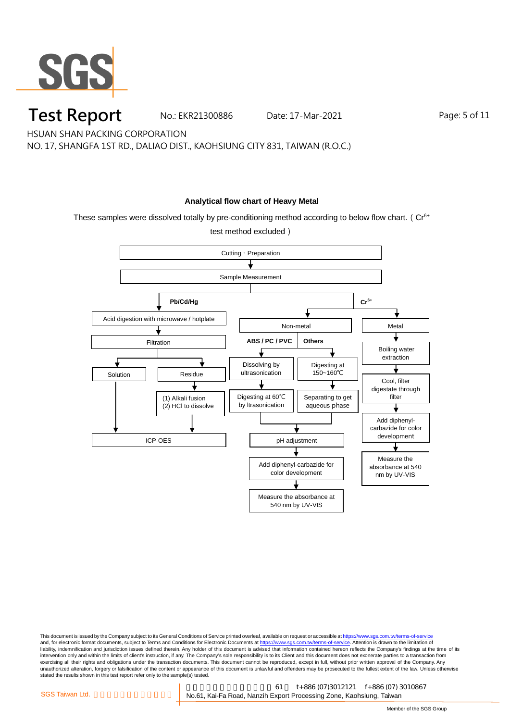

**Test Report** No.: EKR21300886 Date: 17-Mar-2021 Page: 5 of 11

HSUAN SHAN PACKING CORPORATION

NO. 17, SHANGFA 1ST RD., DALIAO DIST., KAOHSIUNG CITY 831, TAIWAN (R.O.C.)

#### **Analytical flow chart of Heavy Metal**

These samples were dissolved totally by pre-conditioning method according to below flow chart. (Cr<sup>6+</sup>



This document is issued by the Company subject to its General Conditions of Service printed overleaf, available on request or accessible at <u>https://www.sgs.com.tw/terms-of-service</u><br>and, for electronic format documents, su liability, indemnification and jurisdiction issues defined therein. Any holder of this document is advised that information contained hereon reflects the Company's findings at the time of its intervention only and within the limits of client's instruction, if any. The Company's sole responsibility is to its Client and this document does not exonerate parties to a transaction from exercising all their rights and obligations under the transaction documents. This document cannot be reproduced, except in full, without prior written approval of the Company. Any<br>unauthorized alteration, forgery or falsif stated the results shown in this test report refer only to the sample(s) tested.

高雄市楠梓加工出口區開發 61 t+886 (07)3012121 f+886 (07) 3010867 SGS Taiwan Ltd. **Component Component Component No.61**, Kai-Fa Road, Nanzih Export Processing Zone, Kaohsiung, Taiwan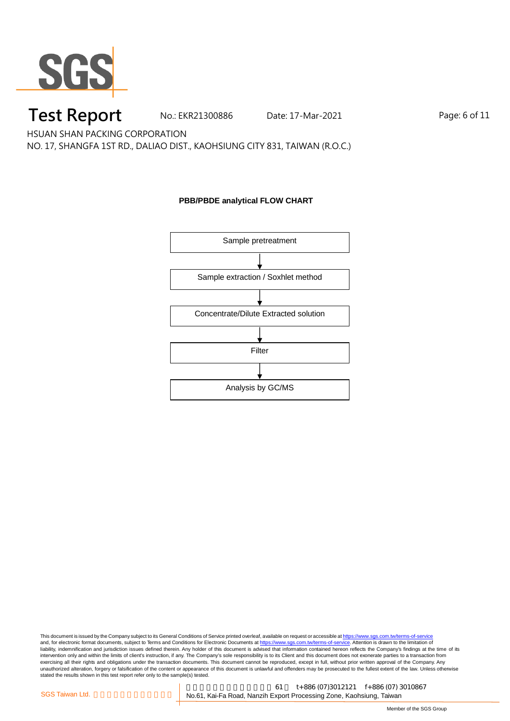

# **Test Report** No.: EKR21300886 Date: 17-Mar-2021 Page: 6 of 11

HSUAN SHAN PACKING CORPORATION

NO. 17, SHANGFA 1ST RD., DALIAO DIST., KAOHSIUNG CITY 831, TAIWAN (R.O.C.)

#### **PBB/PBDE analytical FLOW CHART**

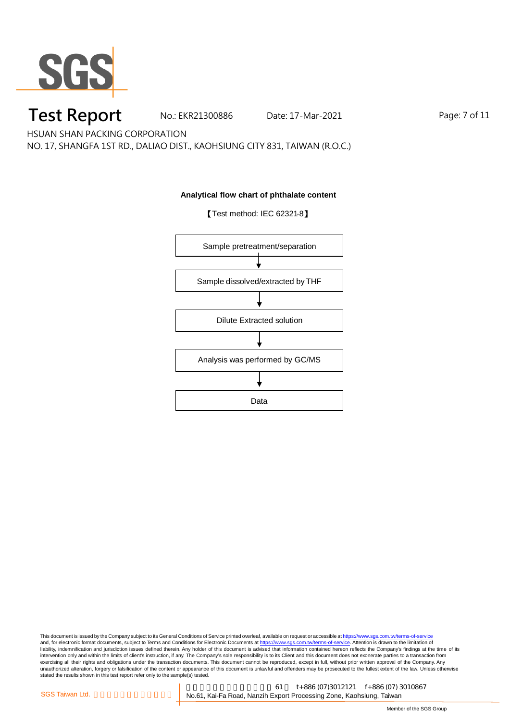

### **Test Report** No.: EKR21300886 Date: 17-Mar-2021 Page: 7 of 11

HSUAN SHAN PACKING CORPORATION

NO. 17, SHANGFA 1ST RD., DALIAO DIST., KAOHSIUNG CITY 831, TAIWAN (R.O.C.)

#### **Analytical flow chart of phthalate content**

【Test method: IEC 62321-8】

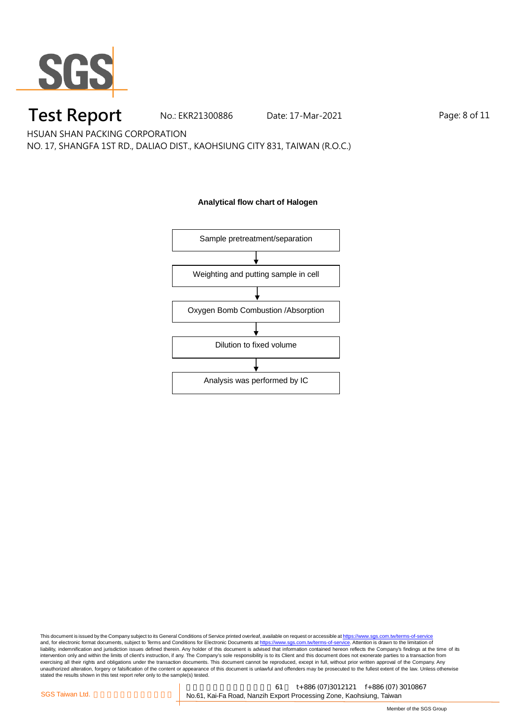

### **Test Report** No.: EKR21300886 Date: 17-Mar-2021 Page: 8 of 11

HSUAN SHAN PACKING CORPORATION

NO. 17, SHANGFA 1ST RD., DALIAO DIST., KAOHSIUNG CITY 831, TAIWAN (R.O.C.)

#### **Analytical flow chart of Halogen**

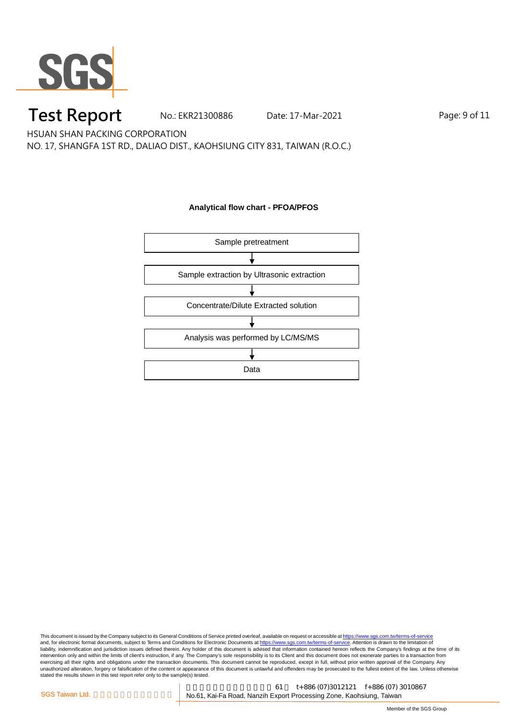

# **Test Report** No.: EKR21300886 Date: 17-Mar-2021 Page: 9 of 11

HSUAN SHAN PACKING CORPORATION

NO. 17, SHANGFA 1ST RD., DALIAO DIST., KAOHSIUNG CITY 831, TAIWAN (R.O.C.)

#### **Analytical flow chart - PFOA/PFOS**

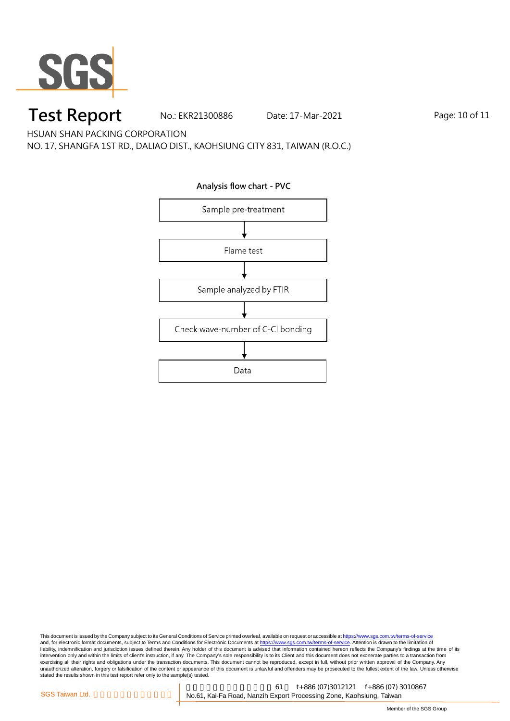

### **Test Report** No.: EKR21300886 Date: 17-Mar-2021 Page: 10 of 11

HSUAN SHAN PACKING CORPORATION

NO. 17, SHANGFA 1ST RD., DALIAO DIST., KAOHSIUNG CITY 831, TAIWAN (R.O.C.)



This document is issued by the Company subject to its General Conditions of Service printed overleaf, available on request or accessible at <u>https://www.sgs.com.tw/terms-of-service</u><br>and, for electronic format documents, su liability, indemnification and jurisdiction issues defined therein. Any holder of this document is advised that information contained hereon reflects the Company's findings at the time of its intervention only and within the limits of client's instruction, if any. The Company's sole responsibility is to its Client and this document does not exonerate parties to a transaction from exercising all their rights and obligations under the transaction documents. This document cannot be reproduced, except in full, without prior written approval of the Company. Any<br>unauthorized alteration, forgery or falsif

高雄市楠梓加工出口區開發 61 t+886 (07)3012121 f+886 (07) 3010867 SGS Taiwan Ltd. <br> **CGS Taiwan Ltd.** Consumer States No.61, Kai-Fa Road, Nanzih Export Processing Zone, Kaohsiung, Taiwan